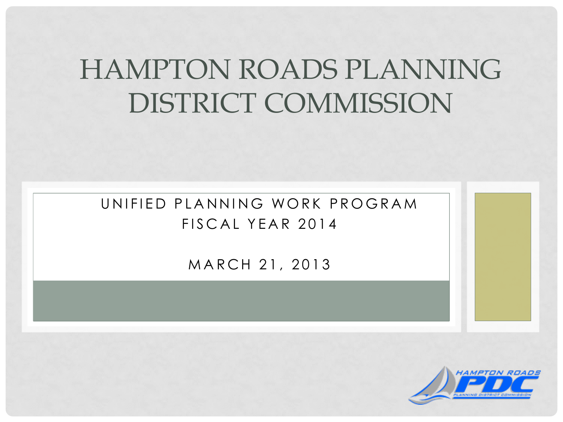### HAMPTON ROADS PLANNING DISTRICT COMMISSION

UNIFIED PLANNING WORK PROGRAM FISCAL YEAR 2014

MARCH 21, 2013

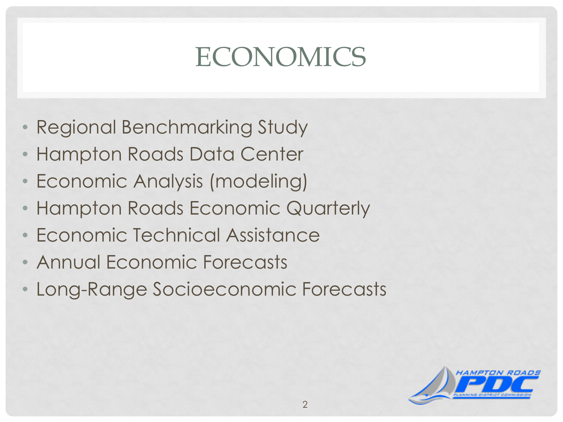# **ECONOMICS**

- Regional Benchmarking Study
- Hampton Roads Data Center
- Economic Analysis (modeling)
- Hampton Roads Economic Quarterly
- Economic Technical Assistance
- Annual Economic Forecasts
- Long-Range Socioeconomic Forecasts

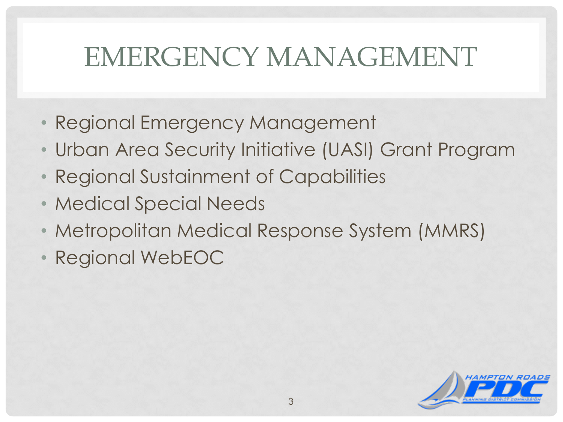#### EMERGENCY MANAGEMENT

- Regional Emergency Management
- Urban Area Security Initiative (UASI) Grant Program
- Regional Sustainment of Capabilities
- Medical Special Needs
- Metropolitan Medical Response System (MMRS)
- Regional WebEOC

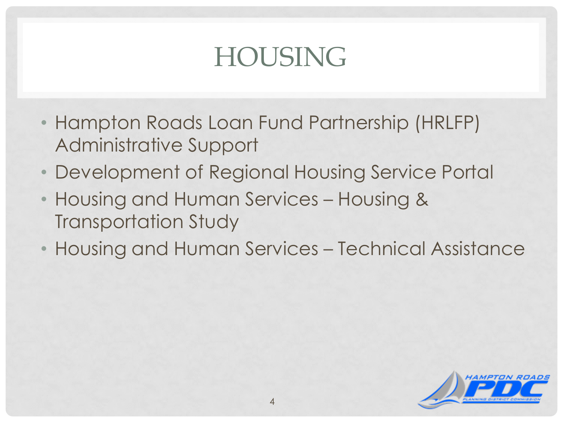## HOUSING

- Hampton Roads Loan Fund Partnership (HRLFP) Administrative Support
- Development of Regional Housing Service Portal
- Housing and Human Services Housing & Transportation Study
- Housing and Human Services Technical Assistance

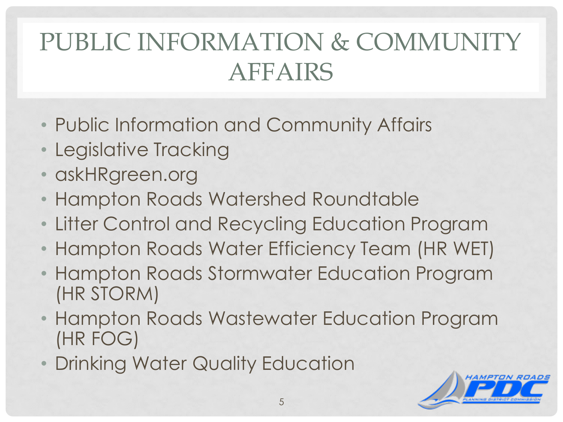#### PUBLIC INFORMATION & COMMUNITY AFFAIRS

- Public Information and Community Affairs
- Legislative Tracking
- askHRgreen.org
- Hampton Roads Watershed Roundtable
- Litter Control and Recycling Education Program
- Hampton Roads Water Efficiency Team (HR WET)
- Hampton Roads Stormwater Education Program (HR STORM)
- Hampton Roads Wastewater Education Program (HR FOG)
- Drinking Water Quality Education

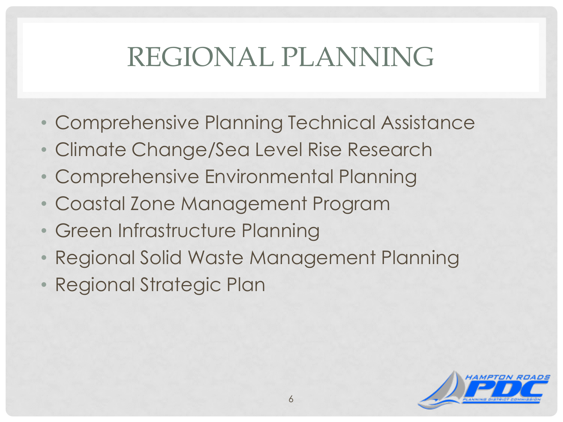## REGIONAL PLANNING

- Comprehensive Planning Technical Assistance
- Climate Change/Sea Level Rise Research
- Comprehensive Environmental Planning
- Coastal Zone Management Program
- Green Infrastructure Planning
- Regional Solid Waste Management Planning
- Regional Strategic Plan